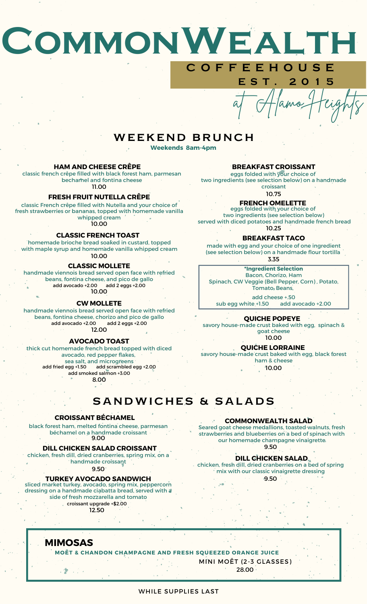# **CommonWealth C O F F E E H O U S E**

## WEEKEND BRUNCH

**Weekends 8am-4pm**

#### **HAM AND CHEESE CRÊPE**

classic french crêpe filled with black forest ham, parmesan bechamel and fontina cheese 11.00

#### **FRESH FRUIT NUTELLA CRÊPE**

classic French crêpe filled with Nutella and your choice of fresh strawberries or bananas, topped with homemade vanilla whipped cream 10.00

#### **CLASSIC FRENCH TOAST**

homemade brioche bread soaked in custard, topped with maple syrup and homemade vanilla whipped cream 10.00

#### **CLASSIC MOLLETE**

handmade viennois bread served open face with refried beans, fontina cheese, and pico de gallo add avocado +2.00 add 2 eggs +2.00 10.00

#### **CW MOLLETE**

handmade viennois bread served open face with refried beans, fontina cheese, chorizo and pico de gallo add avocado +2.00 add 2 eggs +2.00 12.00

#### **AVOCADO TOAST**

#### thick cut homemade french bread topped with diced

avocado, red pepper flakes, sea salt, and microgreens<br>add fried egg +1.50 add scrambled e add scrambled egg +2.00 add smoked salmon +3.00 8.00

#### **BREAKFAST CROISSANT**

at Alamo Heights

**E S T . 2 0 1 5**

eggs folded with your choice of two ingredients (see selection below) on a handmade croissant

10.75

#### **FRENCH OMELETTE**

eggs folded with your choice of two ingredients (see selection below) served with diced potatoes and handmade french bread 10.25

#### **BREAKFAST TACO**

3.35 made with egg and your choice of one ingredient (see selection below) on a handmade flour tortilla

**\*Ingredient Selection** Bacon, Chorizo, Ham Spinach, CW Veggie (Bell Pepper, Corn) , Potato, Tomato, Beans,

add cheese +.50 sub egg white +1.50 add avocado +2.00

#### **QUICHE POPEYE**

savory house-made crust baked with egg, spinach & goat cheese 10.00

#### **QUICHE LORRAINE**

savory house-made crust baked with egg, black forest ham & cheese 10.00

## SANDWICHES & SALADS

#### **CROISSANT BÉCHAMEL**

black forest ham, melted fontina cheese, parmesan béchamel on a handmade croissant 9.00

#### **DILL CHICKEN SALAD CROISSANT**

chicken, fresh dill, dried cranberries, spring mix, on a handmade croissant

9.50

#### **TURKEY AVOCADO SANDWICH**

sliced market turkey, avocado, spring mix, peppercorn dressing on a handmade ciabatta bread, served with a side of fresh mozzarella and tomato croissant upgrade +\$2.00

12.50

#### **COMMONWEALTH SALAD**

Seared goat cheese medallions, toasted walnuts, fresh strawberries and blueberries on a bed of spinach with our homemade champagne vinaigrette 9.50

#### **DILL CHICKEN SALAD**

chicken, fresh dill, dried cranberries on a bed of spring mix with our classic vinaigrette dressing

9.50

#### **MIMOSAS**

2巻 コクイ

**MOËT & CHANDON CHAMPAGNE AND FRESH SQUEEZED ORANGE JUICE**

MINI MOËT (2-3 GLASSES)

28.00

#### WHILE SUPPLIES LAST